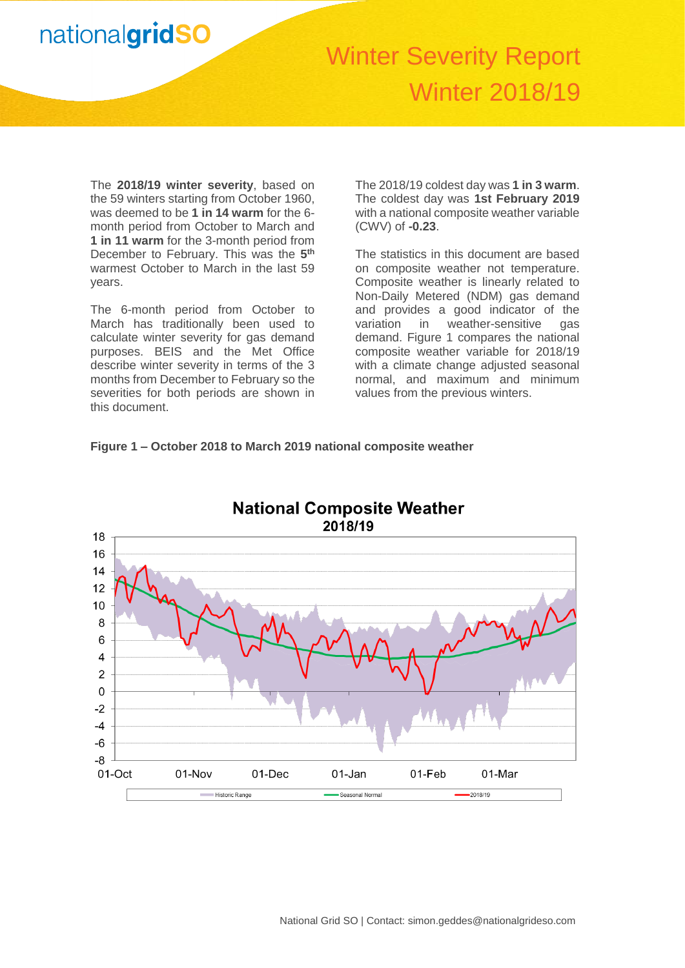# Winter Severity Report Winter 2018/19

The **2018/19 winter severity**, based on the 59 winters starting from October 1960, was deemed to be **1 in 14 warm** for the 6 month period from October to March and **1 in 11 warm** for the 3-month period from December to February. This was the **5 th** warmest October to March in the last 59 years.

The 6-month period from October to March has traditionally been used to calculate winter severity for gas demand purposes. BEIS and the Met Office describe winter severity in terms of the 3 months from December to February so the severities for both periods are shown in this document.

The 2018/19 coldest day was **1 in 3 warm**. The coldest day was **1st February 2019** with a national composite weather variable (CWV) of **-0.23**.

The statistics in this document are based on composite weather not temperature. Composite weather is linearly related to Non-Daily Metered (NDM) gas demand and provides a good indicator of the variation in weather-sensitive gas demand. Figure 1 compares the national composite weather variable for 2018/19 with a climate change adjusted seasonal normal, and maximum and minimum values from the previous winters.

### **Figure 1 – October 2018 to March 2019 national composite weather**

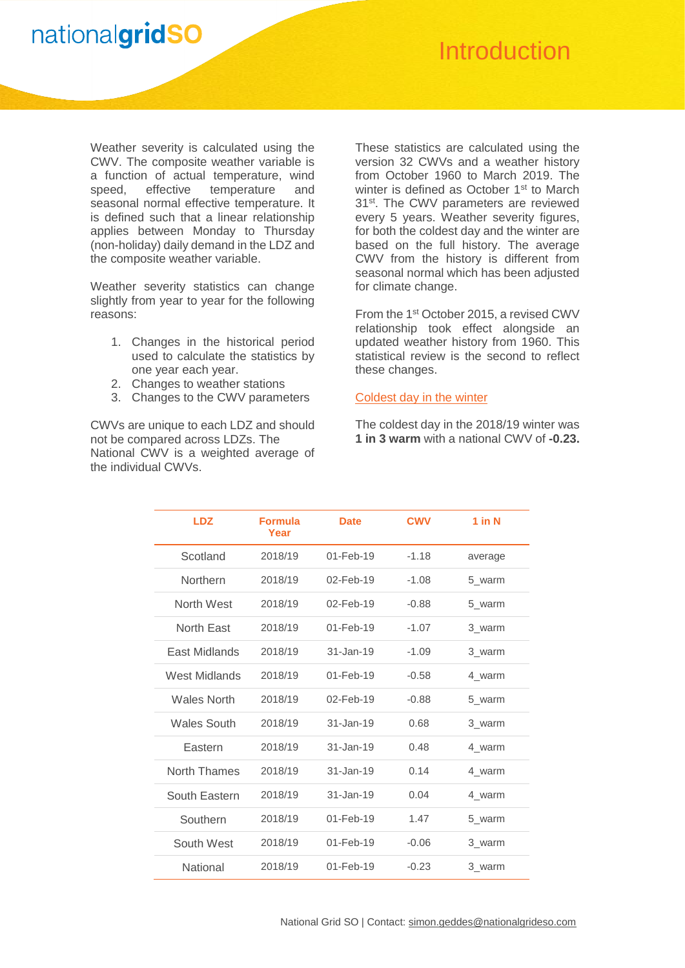

### **Introduction**

Weather severity is calculated using the CWV. The composite weather variable is a function of actual temperature, wind speed, effective temperature and seasonal normal effective temperature. It is defined such that a linear relationship applies between Monday to Thursday (non-holiday) daily demand in the LDZ and the composite weather variable.

Weather severity statistics can change slightly from year to year for the following reasons:

- 1. Changes in the historical period used to calculate the statistics by one year each year.
- 2. Changes to weather stations
- 3. Changes to the CWV parameters

CWVs are unique to each LDZ and should not be compared across LDZs. The National CWV is a weighted average of the individual CWVs.

These statistics are calculated using the version 32 CWVs and a weather history from October 1960 to March 2019. The winter is defined as October 1<sup>st</sup> to March 31<sup>st</sup>. The CWV parameters are reviewed every 5 years. Weather severity figures, for both the coldest day and the winter are based on the full history. The average CWV from the history is different from seasonal normal which has been adjusted for climate change.

From the 1<sup>st</sup> October 2015, a revised CWV relationship took effect alongside an updated weather history from 1960. This statistical review is the second to reflect these changes.

#### Coldest day in the winter

The coldest day in the 2018/19 winter was **1 in 3 warm** with a national CWV of **-0.23.**

| <b>LDZ</b>         | <b>Formula</b><br>Year | <b>Date</b>     | <b>CWV</b> | $1$ in N |
|--------------------|------------------------|-----------------|------------|----------|
| Scotland           | 2018/19                | $01 - Feb - 19$ | $-1.18$    | average  |
| Northern           | 2018/19                | $02 - Feb - 19$ | $-1.08$    | 5 warm   |
| North West         | 2018/19                | 02-Feb-19       | $-0.88$    | 5 warm   |
| North Fast         | 2018/19                | $01 - Feb - 19$ | $-1.07$    | 3 warm   |
| East Midlands      | 2018/19                | $31 - Jan - 19$ | $-1.09$    | 3 warm   |
| West Midlands      | 2018/19                | $01 - Feb - 19$ | $-0.58$    | 4 warm   |
| <b>Wales North</b> | 2018/19                | 02-Feb-19       | $-0.88$    | 5 warm   |
| <b>Wales South</b> | 2018/19                | $31 - Jan - 19$ | 0.68       | 3 warm   |
| Eastern            | 2018/19                | $31 - Jan - 19$ | 0.48       | 4 warm   |
| North Thames       | 2018/19                | $31 - Jan - 19$ | 0.14       | 4 warm   |
| South Eastern      | 2018/19                | $31 - Jan - 19$ | 0.04       | 4 warm   |
| Southern           | 2018/19                | 01-Feb-19       | 1.47       | 5 warm   |
| South West         | 2018/19                | 01-Feb-19       | $-0.06$    | 3 warm   |
| National           | 2018/19                | 01-Feb-19       | $-0.23$    | 3 warm   |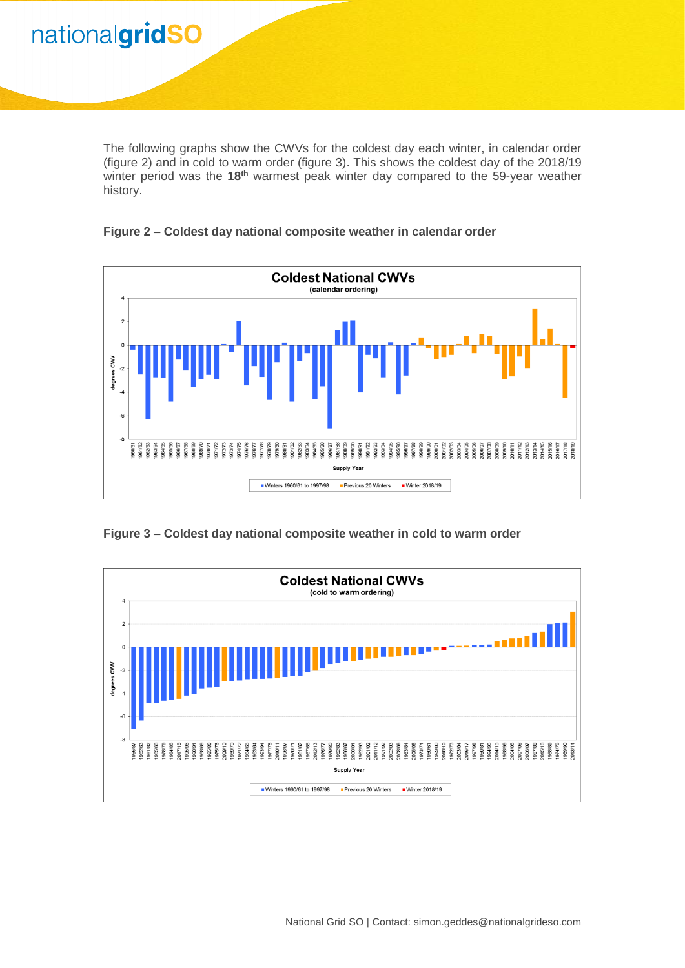The following graphs show the CWVs for the coldest day each winter, in calendar order (figure 2) and in cold to warm order (figure 3). This shows the coldest day of the 2018/19 winter period was the **18th** warmest peak winter day compared to the 59-year weather history.

**Winter 2018/19**

**Figure 2 – Coldest day national composite weather in calendar order**



**Figure 3 – Coldest day national composite weather in cold to warm order**

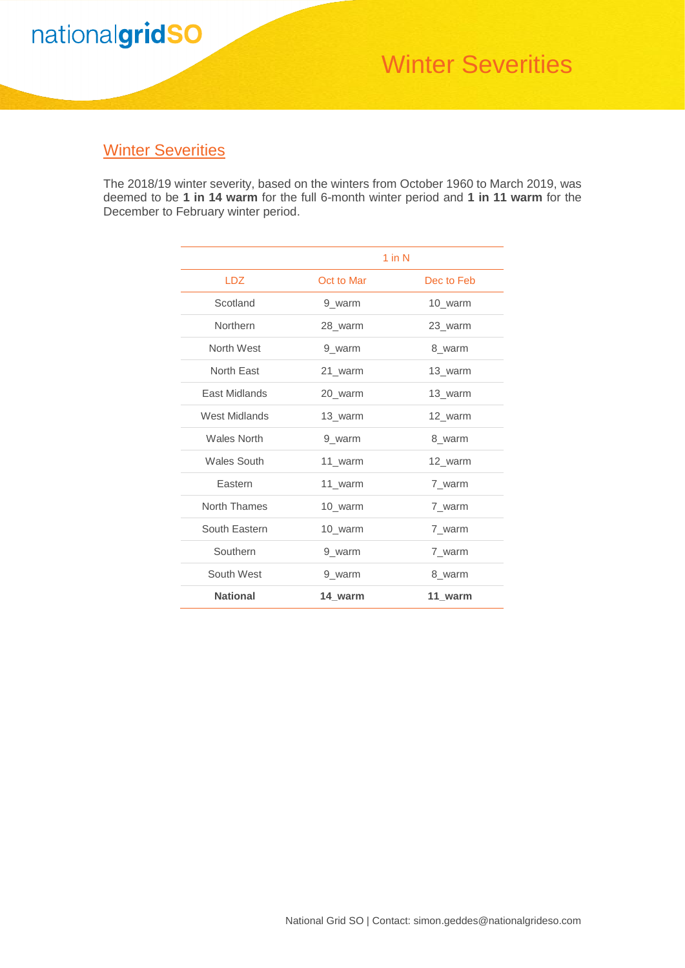

## Winter Severities

### **Winter Severities**

The 2018/19 winter severity, based on the winters from October 1960 to March 2019, was deemed to be **1 in 14 warm** for the full 6-month winter period and **1 in 11 warm** for the December to February winter period.

|                      |            | $1$ in $N$ |
|----------------------|------------|------------|
| <b>LDZ</b>           | Oct to Mar | Dec to Feb |
| Scotland             | 9 warm     | 10_warm    |
| Northern             | 28_warm    | 23_warm    |
| North West           | 9 warm     | 8 warm     |
| North East           | 21_warm    | 13_warm    |
| <b>East Midlands</b> | 20 warm    | 13_warm    |
| West Midlands        | 13 warm    | 12_warm    |
| <b>Wales North</b>   | 9 warm     | 8 warm     |
| <b>Wales South</b>   | 11_warm    | 12_warm    |
| Eastern              | 11 warm    | 7 warm     |
| North Thames         | 10 warm    | 7 warm     |
| South Eastern        | 10_warm    | 7_warm     |
| Southern             | 9_warm     | 7_warm     |
| South West           | 9_warm     | 8 warm     |
| <b>National</b>      | 14 warm    | 11 warm    |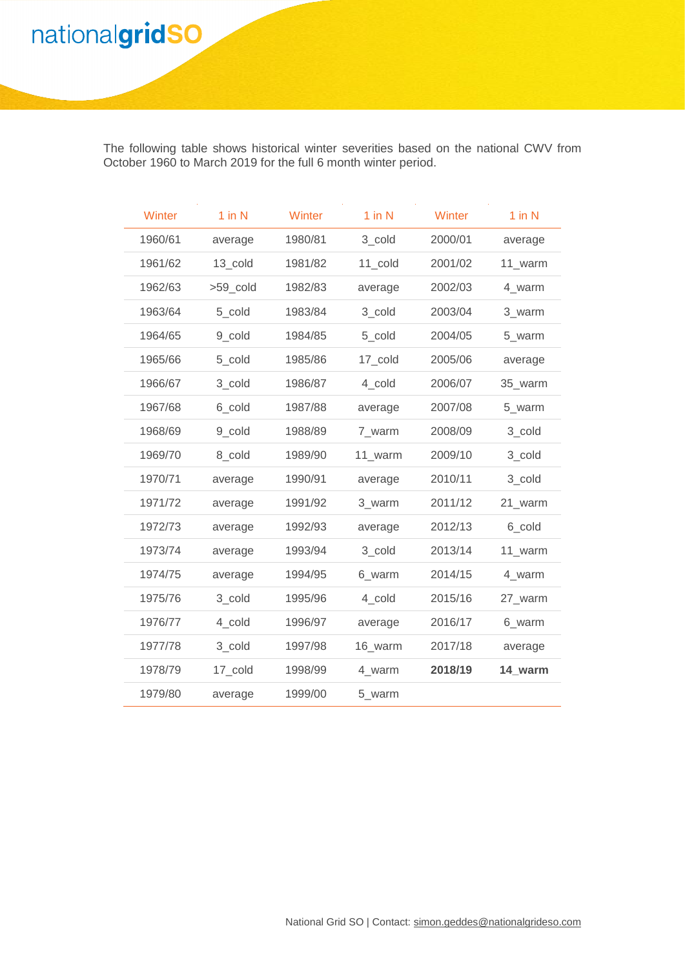The following table shows historical winter severities based on the national CWV from October 1960 to March 2019 for the full 6 month winter period.

**Winter 2018/19**

| Winter  | $1$ in $N$ | Winter  | $1$ in $N$ | Winter  | $1$ in $N$ |
|---------|------------|---------|------------|---------|------------|
| 1960/61 | average    | 1980/81 | 3 cold     | 2000/01 | average    |
| 1961/62 | 13 cold    | 1981/82 | 11 cold    | 2001/02 | 11 warm    |
| 1962/63 | >59_cold   | 1982/83 | average    | 2002/03 | 4 warm     |
| 1963/64 | 5 cold     | 1983/84 | 3 cold     | 2003/04 | 3_warm     |
| 1964/65 | 9 cold     | 1984/85 | 5_cold     | 2004/05 | 5_warm     |
| 1965/66 | 5_cold     | 1985/86 | 17_cold    | 2005/06 | average    |
| 1966/67 | 3_cold     | 1986/87 | 4 cold     | 2006/07 | 35_warm    |
| 1967/68 | 6_cold     | 1987/88 | average    | 2007/08 | 5_warm     |
| 1968/69 | 9 cold     | 1988/89 | 7 warm     | 2008/09 | 3 cold     |
| 1969/70 | 8 cold     | 1989/90 | 11 warm    | 2009/10 | 3 cold     |
| 1970/71 | average    | 1990/91 | average    | 2010/11 | 3 cold     |
| 1971/72 | average    | 1991/92 | 3 warm     | 2011/12 | 21_warm    |
| 1972/73 | average    | 1992/93 | average    | 2012/13 | 6_cold     |
| 1973/74 | average    | 1993/94 | 3_cold     | 2013/14 | 11_warm    |
| 1974/75 | average    | 1994/95 | 6_warm     | 2014/15 | 4_warm     |
| 1975/76 | 3 cold     | 1995/96 | 4 cold     | 2015/16 | 27 warm    |
| 1976/77 | 4 cold     | 1996/97 | average    | 2016/17 | 6 warm     |
| 1977/78 | 3_cold     | 1997/98 | 16_warm    | 2017/18 | average    |
| 1978/79 | 17_cold    | 1998/99 | 4_warm     | 2018/19 | 14 warm    |
| 1979/80 | average    | 1999/00 | 5_warm     |         |            |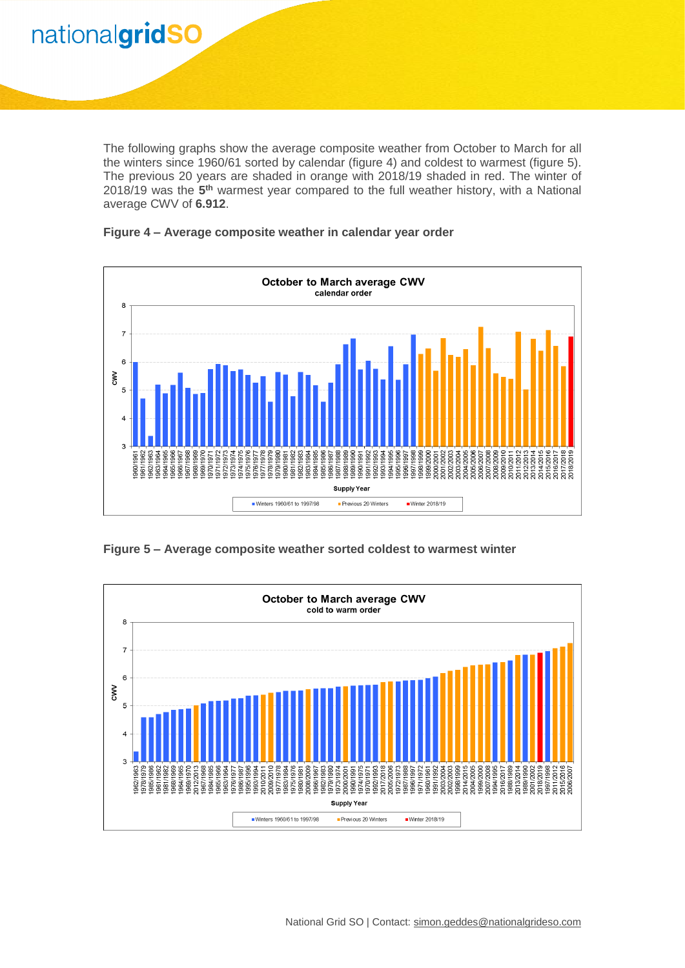The following graphs show the average composite weather from October to March for all the winters since 1960/61 sorted by calendar (figure 4) and coldest to warmest (figure 5). The previous 20 years are shaded in orange with 2018/19 shaded in red. The winter of 2018/19 was the 5<sup>th</sup> warmest year compared to the full weather history, with a National average CWV of **6.912**.

**Winter 2018/19**



#### **Figure 4 – Average composite weather in calendar year order**

**Figure 5 – Average composite weather sorted coldest to warmest winter**

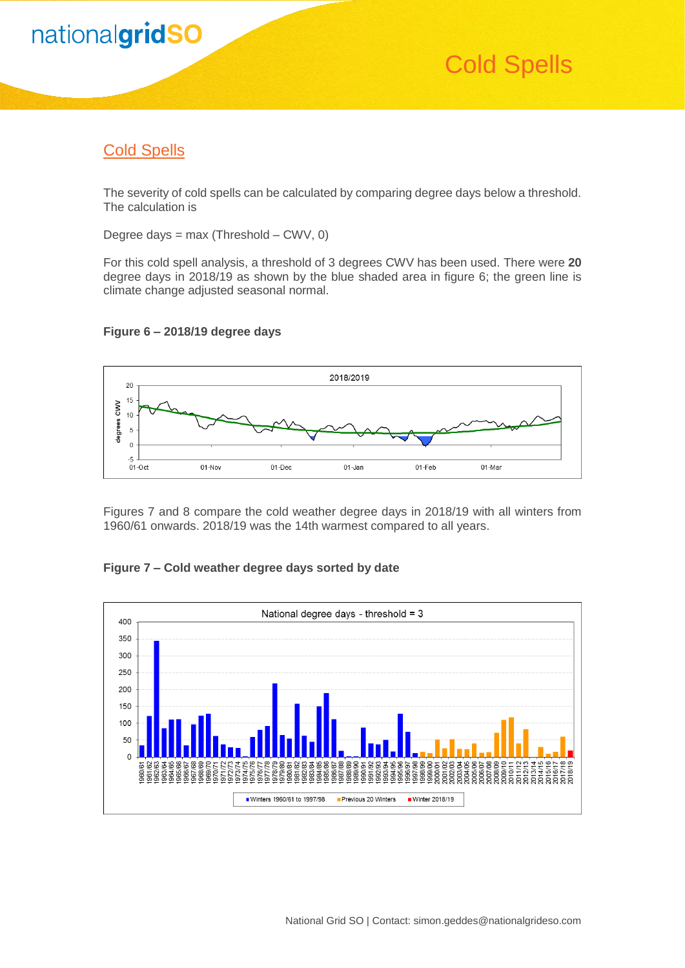

## Cold Spells

### Cold Spells

The severity of cold spells can be calculated by comparing degree days below a threshold. The calculation is

Degree days =  $max$  (Threshold – CWV, 0)

For this cold spell analysis, a threshold of 3 degrees CWV has been used. There were **20** degree days in 2018/19 as shown by the blue shaded area in figure 6; the green line is climate change adjusted seasonal normal.



### **Figure 6 – 2018/19 degree days**

Figures 7 and 8 compare the cold weather degree days in 2018/19 with all winters from 1960/61 onwards. 2018/19 was the 14th warmest compared to all years.

#### **Figure 7 – Cold weather degree days sorted by date**

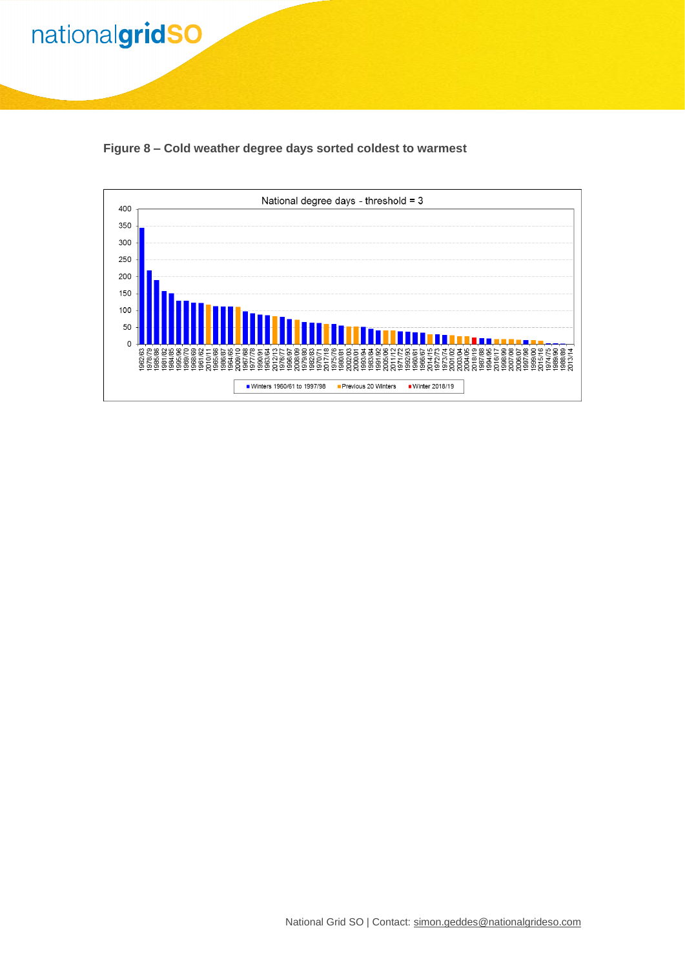

**Winter 2018/19**

**Figure 8 – Cold weather degree days sorted coldest to warmest**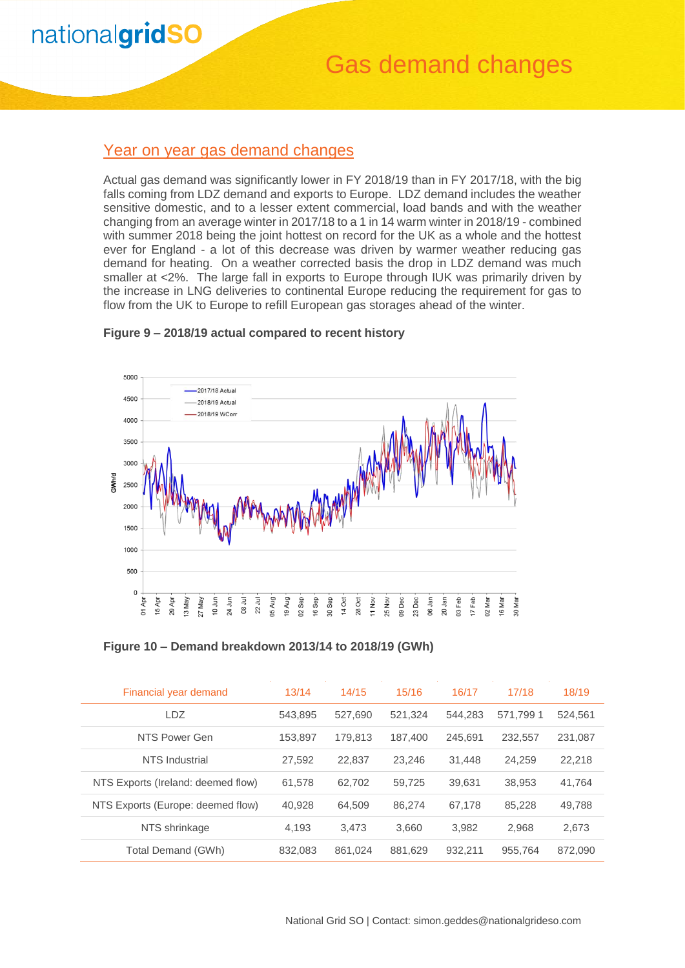### Gas demand changes

### Year on year gas demand changes

Actual gas demand was significantly lower in FY 2018/19 than in FY 2017/18, with the big falls coming from LDZ demand and exports to Europe. LDZ demand includes the weather sensitive domestic, and to a lesser extent commercial, load bands and with the weather changing from an average winter in 2017/18 to a 1 in 14 warm winter in 2018/19 - combined with summer 2018 being the joint hottest on record for the UK as a whole and the hottest ever for England - a lot of this decrease was driven by warmer weather reducing gas demand for heating. On a weather corrected basis the drop in LDZ demand was much smaller at <2%. The large fall in exports to Europe through IUK was primarily driven by the increase in LNG deliveries to continental Europe reducing the requirement for gas to flow from the UK to Europe to refill European gas storages ahead of the winter.



#### **Figure 9 – 2018/19 actual compared to recent history**

**Figure 10 – Demand breakdown 2013/14 to 2018/19 (GWh)**

| Financial year demand              | 13/14   | 14/15   | 15/16   | 16/17   | 17/18    | 18/19   |
|------------------------------------|---------|---------|---------|---------|----------|---------|
| <b>LDZ</b>                         | 543.895 | 527,690 | 521.324 | 544.283 | 571.7991 | 524,561 |
| NTS Power Gen                      | 153.897 | 179.813 | 187.400 | 245.691 | 232.557  | 231,087 |
| NTS Industrial                     | 27.592  | 22,837  | 23.246  | 31.448  | 24.259   | 22,218  |
| NTS Exports (Ireland: deemed flow) | 61.578  | 62.702  | 59,725  | 39.631  | 38.953   | 41,764  |
| NTS Exports (Europe: deemed flow)  | 40.928  | 64.509  | 86.274  | 67.178  | 85.228   | 49,788  |
| NTS shrinkage                      | 4.193   | 3.473   | 3.660   | 3.982   | 2.968    | 2,673   |
| Total Demand (GWh)                 | 832,083 | 861,024 | 881,629 | 932,211 | 955,764  | 872,090 |